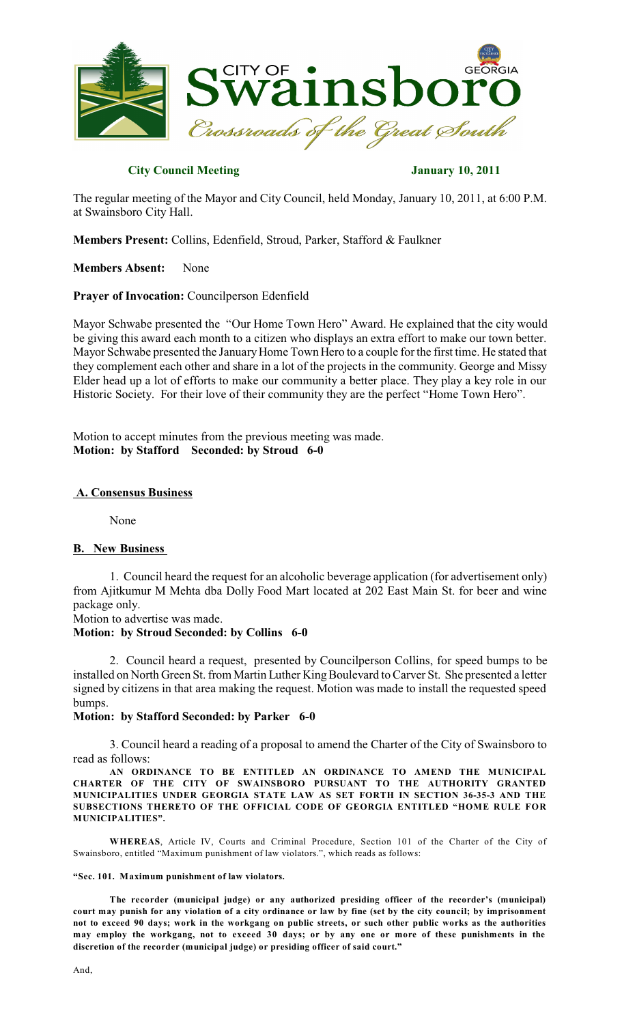

# **City Council Meeting January 10, 2011**

The regular meeting of the Mayor and City Council, held Monday, January 10, 2011, at 6:00 P.M. at Swainsboro City Hall.

**Members Present:** Collins, Edenfield, Stroud, Parker, Stafford & Faulkner

**Members Absent:** None

### **Prayer of Invocation:** Councilperson Edenfield

Mayor Schwabe presented the "Our Home Town Hero" Award. He explained that the city would be giving this award each month to a citizen who displays an extra effort to make our town better. Mayor Schwabe presented the January Home Town Hero to a couple for the first time. He stated that they complement each other and share in a lot of the projects in the community. George and Missy Elder head up a lot of efforts to make our community a better place. They play a key role in our Historic Society. For their love of their community they are the perfect "Home Town Hero".

Motion to accept minutes from the previous meeting was made. **Motion: by Stafford Seconded: by Stroud 6-0**

### **A. Consensus Business**

None

### **B. New Business**

1. Council heard the request for an alcoholic beverage application (for advertisement only) from Ajitkumur M Mehta dba Dolly Food Mart located at 202 East Main St. for beer and wine package only.

Motion to advertise was made.

### **Motion: by Stroud Seconded: by Collins 6-0**

2. Council heard a request, presented by Councilperson Collins, for speed bumps to be installed on North Green St. from Martin Luther King Boulevard to Carver St. She presented a letter signed by citizens in that area making the request. Motion was made to install the requested speed bumps.

### **Motion: by Stafford Seconded: by Parker 6-0**

3. Council heard a reading of a proposal to amend the Charter of the City of Swainsboro to read as follows:

**AN ORDINANCE TO BE ENTITLED AN ORDINANCE TO AMEND THE MUNICIPAL CHARTER OF THE CITY OF SWAINSBORO PURSUANT TO THE AUTHORITY GRANTED MUNICIPALITIES UNDER GEORGIA STATE LAW AS SET FORTH IN SECTION 36-35-3 AND THE SUBSECTIONS THERETO OF THE OFFICIAL CODE OF GEORGIA ENTITLED "HOME RULE FOR MUNICIPALITIES".**

**WHEREAS**, Article IV, Courts and Criminal Procedure, Section 101 of the Charter of the City of Swainsboro, entitled "Maximum punishment of law violators.", which reads as follows:

### **"Sec. 101. Maximum punishment of law violators.**

**The recorder (municipal judge) or any authorized presiding officer of the recorder's (municipal)** court may punish for any violation of a city ordinance or law by fine (set by the city council; by imprisonment not to exceed 90 days; work in the workgang on public streets, or such other public works as the authorities may employ the workgang, not to exceed 30 days; or by any one or more of these punishments in the **discretion of the recorder (municipal judge) or presiding officer of said court."**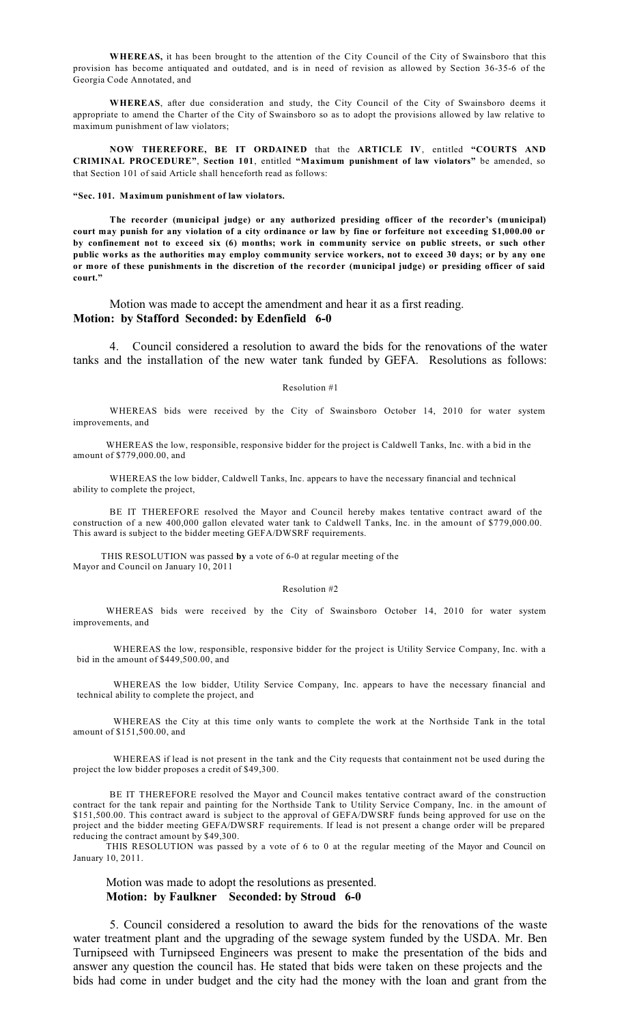**WHEREAS,** it has been brought to the attention of the City Council of the City of Swainsboro that this provision has become antiquated and outdated, and is in need of revision as allowed by Section 36-35-6 of the Georgia Code Annotated, and

**WHEREAS**, after due consideration and study, the City Council of the City of Swainsboro deems it appropriate to amend the Charter of the City of Swainsboro so as to adopt the provisions allowed by law relative to maximum punishment of law violators;

**NOW THEREFORE, BE IT ORDAINED** that the **ARTICLE IV**, entitled **"COURTS AND CRIMINAL PROCEDURE"**, **Section 101**, entitled **"Maximum punishment of law violators"** be amended, so that Section 101 of said Article shall henceforth read as follows:

### **"Sec. 101. Maximum punishment of law violators.**

**The recorder (municipal judge) or any authorized presiding officer of the recorder's (municipal)** court may punish for any violation of a city ordinance or law by fine or forfeiture not exceeding \$1,000.00 or by confinement not to exceed six (6) months; work in community service on public streets, or such other public works as the authorities may employ community service workers, not to exceed 30 days; or by any one or more of these punishments in the discretion of the recorder (municipal judge) or presiding officer of said **court."**

Motion was made to accept the amendment and hear it as a first reading. **Motion: by Stafford Seconded: by Edenfield 6-0**

4. Council considered a resolution to award the bids for the renovations of the water tanks and the installation of the new water tank funded by GEFA. Resolutions as follows:

#### Resolution #1

WHEREAS bids were received by the City of Swainsboro October 14, 2010 for water system improvements, and

WHEREAS the low, responsible, responsive bidder for the project is Caldwell Tanks, Inc. with a bid in the amount of \$779,000.00, and

WHEREAS the low bidder, Caldwell Tanks, Inc. appears to have the necessary financial and technical ability to complete the project,

BE IT THEREFORE resolved the Mayor and Council hereby makes tentative contract award of the construction of a new 400,000 gallon elevated water tank to Caldwell Tanks, Inc. in the amount of \$779,000.00. This award is subject to the bidder meeting GEFA/DWSRF requirements.

THIS RESOLUTION was passed **by** a vote of 6-0 at regular meeting of the Mayor and Council on January 10, 2011

#### Resolution #2

WHEREAS bids were received by the City of Swainsboro October 14, 2010 for water system improvements, and

WHEREAS the low, responsible, responsive bidder for the project is Utility Service Company, Inc. with a bid in the amount of \$449,500.00, and

WHEREAS the low bidder, Utility Service Company, Inc. appears to have the necessary financial and technical ability to complete the project, and

WHEREAS the City at this time only wants to complete the work at the Northside Tank in the total amount of \$151,500.00, and

WHEREAS if lead is not present in the tank and the City requests that containment not be used during the project the low bidder proposes a credit of \$49,300.

BE IT THEREFORE resolved the Mayor and Council makes tentative contract award of the construction contract for the tank repair and painting for the Northside Tank to Utility Service Company, Inc. in the amount of \$151,500.00. This contract award is subject to the approval of GEFA/DWSRF funds being approved for use on the project and the bidder meeting GEFA/DWSRF requirements. If lead is not present a change order will be prepared reducing the contract amount by \$49,300.

THIS RESOLUTION was passed by a vote of 6 to 0 at the regular meeting of the Mayor and Council on January 10, 2011.

# Motion was made to adopt the resolutions as presented. **Motion: by Faulkner Seconded: by Stroud 6-0**

5. Council considered a resolution to award the bids for the renovations of the waste water treatment plant and the upgrading of the sewage system funded by the USDA. Mr. Ben Turnipseed with Turnipseed Engineers was present to make the presentation of the bids and answer any question the council has. He stated that bids were taken on these projects and the bids had come in under budget and the city had the money with the loan and grant from the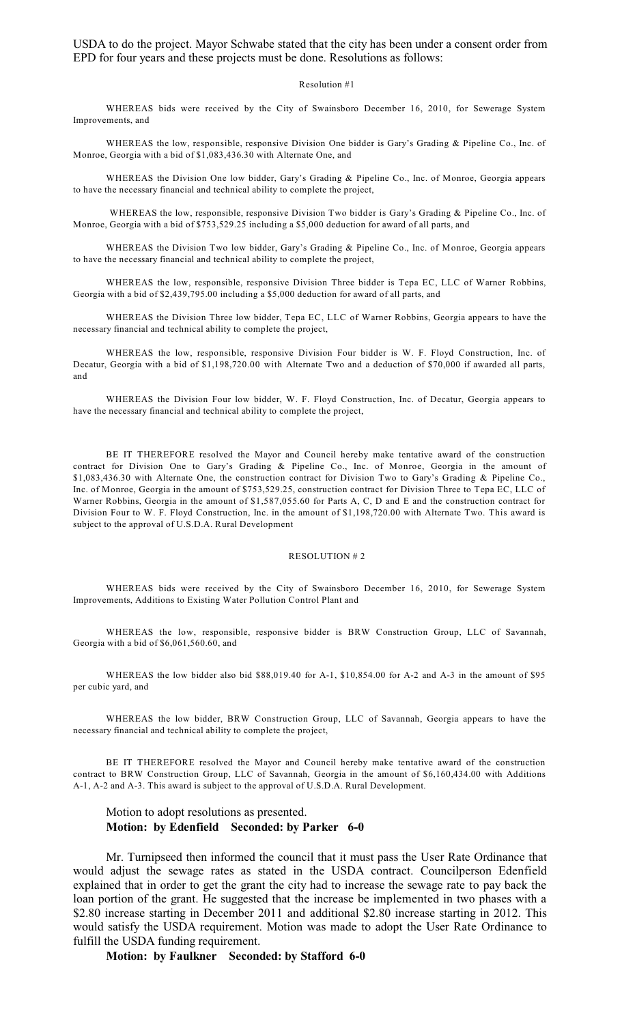USDA to do the project. Mayor Schwabe stated that the city has been under a consent order from EPD for four years and these projects must be done. Resolutions as follows:

### Resolution #1

WHEREAS bids were received by the City of Swainsboro December 16, 2010, for Sewerage System Improvements, and

WHEREAS the low, responsible, responsive Division One bidder is Gary's Grading & Pipeline Co., Inc. of Monroe, Georgia with a bid of \$1,083,436.30 with Alternate One, and

WHEREAS the Division One low bidder, Gary's Grading & Pipeline Co., Inc. of Monroe, Georgia appears to have the necessary financial and technical ability to complete the project,

WHEREAS the low, responsible, responsive Division Two bidder is Gary's Grading & Pipeline Co., Inc. of Monroe, Georgia with a bid of \$753,529.25 including a \$5,000 deduction for award of all parts, and

WHEREAS the Division Two low bidder, Gary's Grading & Pipeline Co., Inc. of Monroe, Georgia appears to have the necessary financial and technical ability to complete the project,

WHEREAS the low, responsible, responsive Division Three bidder is Tepa EC, LLC of Warner Robbins, Georgia with a bid of \$2,439,795.00 including a \$5,000 deduction for award of all parts, and

WHEREAS the Division Three low bidder, Tepa EC, LLC of Warner Robbins, Georgia appears to have the necessary financial and technical ability to complete the project,

WHEREAS the low, responsible, responsive Division Four bidder is W. F. Floyd Construction, Inc. of Decatur, Georgia with a bid of \$1,198,720.00 with Alternate Two and a deduction of \$70,000 if awarded all parts, and

WHEREAS the Division Four low bidder, W. F. Floyd Construction, Inc. of Decatur, Georgia appears to have the necessary financial and technical ability to complete the project,

BE IT THEREFORE resolved the Mayor and Council hereby make tentative award of the construction contract for Division One to Gary's Grading & Pipeline Co., Inc. of Monroe, Georgia in the amount of \$1,083,436.30 with Alternate One, the construction contract for Division Two to Gary's Grading & Pipeline Co., Inc. of Monroe, Georgia in the amount of \$753,529.25, construction contract for Division Three to Tepa EC, LLC of Warner Robbins, Georgia in the amount of \$1,587,055.60 for Parts A, C, D and E and the construction contract for Division Four to W. F. Floyd Construction, Inc. in the amount of \$1,198,720.00 with Alternate Two. This award is subject to the approval of U.S.D.A. Rural Development

### RESOLUTION # 2

WHEREAS bids were received by the City of Swainsboro December 16, 2010, for Sewerage System Improvements, Additions to Existing Water Pollution Control Plant and

WHEREAS the low, responsible, responsive bidder is BRW Construction Group, LLC of Savannah, Georgia with a bid of \$6,061,560.60, and

WHEREAS the low bidder also bid \$88,019.40 for A-1, \$10,854.00 for A-2 and A-3 in the amount of \$95 per cubic yard, and

WHEREAS the low bidder, BRW Construction Group, LLC of Savannah, Georgia appears to have the necessary financial and technical ability to complete the project,

BE IT THEREFORE resolved the Mayor and Council hereby make tentative award of the construction contract to BRW Construction Group, LLC of Savannah, Georgia in the amount of \$6,160,434.00 with Additions A-1, A-2 and A-3. This award is subject to the approval of U.S.D.A. Rural Development.

# Motion to adopt resolutions as presented. **Motion: by Edenfield Seconded: by Parker 6-0**

Mr. Turnipseed then informed the council that it must pass the User Rate Ordinance that would adjust the sewage rates as stated in the USDA contract. Councilperson Edenfield explained that in order to get the grant the city had to increase the sewage rate to pay back the loan portion of the grant. He suggested that the increase be implemented in two phases with a \$2.80 increase starting in December 2011 and additional \$2.80 increase starting in 2012. This would satisfy the USDA requirement. Motion was made to adopt the User Rate Ordinance to fulfill the USDA funding requirement.

**Motion: by Faulkner Seconded: by Stafford 6-0**